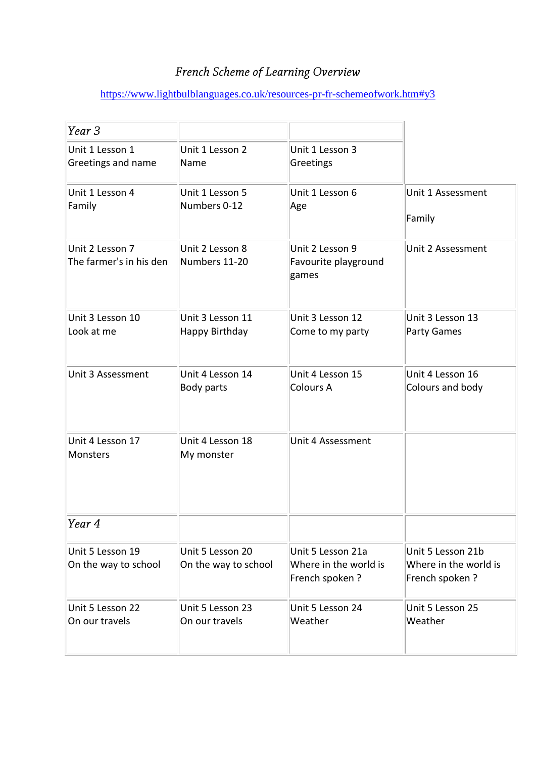## French Scheme of Learning Overview

## <https://www.lightbulblanguages.co.uk/resources-pr-fr-schemeofwork.htm#y3>

| Year 3                                     |                                          |                                                              |                                                              |
|--------------------------------------------|------------------------------------------|--------------------------------------------------------------|--------------------------------------------------------------|
| Unit 1 Lesson 1                            | Unit 1 Lesson 2                          | Unit 1 Lesson 3                                              |                                                              |
| Greetings and name                         | Name                                     | Greetings                                                    |                                                              |
| Unit 1 Lesson 4                            | Unit 1 Lesson 5                          | Unit 1 Lesson 6                                              | Unit 1 Assessment                                            |
| Family                                     | Numbers 0-12                             | Age                                                          | Family                                                       |
| Unit 2 Lesson 7<br>The farmer's in his den | Unit 2 Lesson 8<br>Numbers 11-20         | Unit 2 Lesson 9<br>Favourite playground<br>games             | Unit 2 Assessment                                            |
| Unit 3 Lesson 10                           | Unit 3 Lesson 11                         | Unit 3 Lesson 12                                             | Unit 3 Lesson 13                                             |
| Look at me                                 | Happy Birthday                           | Come to my party                                             | <b>Party Games</b>                                           |
| Unit 3 Assessment                          | Unit 4 Lesson 14                         | Unit 4 Lesson 15                                             | Unit 4 Lesson 16                                             |
|                                            | Body parts                               | <b>Colours A</b>                                             | Colours and body                                             |
| Unit 4 Lesson 17<br><b>Monsters</b>        | Unit 4 Lesson 18<br>My monster           | Unit 4 Assessment                                            |                                                              |
| Year 4                                     |                                          |                                                              |                                                              |
| Unit 5 Lesson 19<br>On the way to school   | Unit 5 Lesson 20<br>On the way to school | Unit 5 Lesson 21a<br>Where in the world is<br>French spoken? | Unit 5 Lesson 21b<br>Where in the world is<br>French spoken? |
| Unit 5 Lesson 22                           | Unit 5 Lesson 23                         | Unit 5 Lesson 24                                             | Unit 5 Lesson 25                                             |
| On our travels                             | On our travels                           | Weather                                                      | Weather                                                      |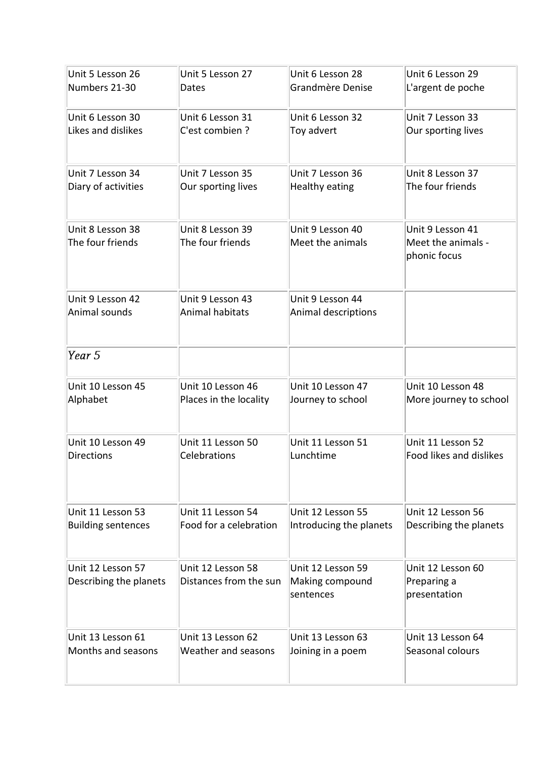| Unit 5 Lesson 26                            | Unit 5 Lesson 27                            | Unit 6 Lesson 28                                  | Unit 6 Lesson 29                                       |
|---------------------------------------------|---------------------------------------------|---------------------------------------------------|--------------------------------------------------------|
| Numbers 21-30                               | Dates                                       | Grandmère Denise                                  | L'argent de poche                                      |
| Unit 6 Lesson 30                            | Unit 6 Lesson 31                            | Unit 6 Lesson 32                                  | Unit 7 Lesson 33                                       |
| Likes and dislikes                          | C'est combien ?                             | Toy advert                                        | Our sporting lives                                     |
| Unit 7 Lesson 34                            | Unit 7 Lesson 35                            | Unit 7 Lesson 36                                  | Unit 8 Lesson 37                                       |
| Diary of activities                         | Our sporting lives                          | Healthy eating                                    | The four friends                                       |
| Unit 8 Lesson 38<br>The four friends        | Unit 8 Lesson 39<br>The four friends        | Unit 9 Lesson 40<br>Meet the animals              | Unit 9 Lesson 41<br>Meet the animals -<br>phonic focus |
| Unit 9 Lesson 42                            | Unit 9 Lesson 43                            | Unit 9 Lesson 44                                  |                                                        |
| Animal sounds                               | Animal habitats                             | Animal descriptions                               |                                                        |
| Year 5                                      |                                             |                                                   |                                                        |
| Unit 10 Lesson 45                           | Unit 10 Lesson 46                           | Unit 10 Lesson 47                                 | Unit 10 Lesson 48                                      |
| Alphabet                                    | Places in the locality                      | Journey to school                                 | More journey to school                                 |
| Unit 10 Lesson 49                           | Unit 11 Lesson 50                           | Unit 11 Lesson 51                                 | Unit 11 Lesson 52                                      |
| <b>Directions</b>                           | Celebrations                                | Lunchtime                                         | <b>Food likes and dislikes</b>                         |
| Unit 11 Lesson 53                           | Unit 11 Lesson 54                           | Unit 12 Lesson 55                                 | Unit 12 Lesson 56                                      |
| <b>Building sentences</b>                   | Food for a celebration                      | Introducing the planets                           | Describing the planets                                 |
| Unit 12 Lesson 57<br>Describing the planets | Unit 12 Lesson 58<br>Distances from the sun | Unit 12 Lesson 59<br>Making compound<br>sentences | Unit 12 Lesson 60<br>Preparing a<br>presentation       |
| Unit 13 Lesson 61                           | Unit 13 Lesson 62                           | Unit 13 Lesson 63                                 | Unit 13 Lesson 64                                      |
| Months and seasons                          | Weather and seasons                         | Joining in a poem                                 | Seasonal colours                                       |